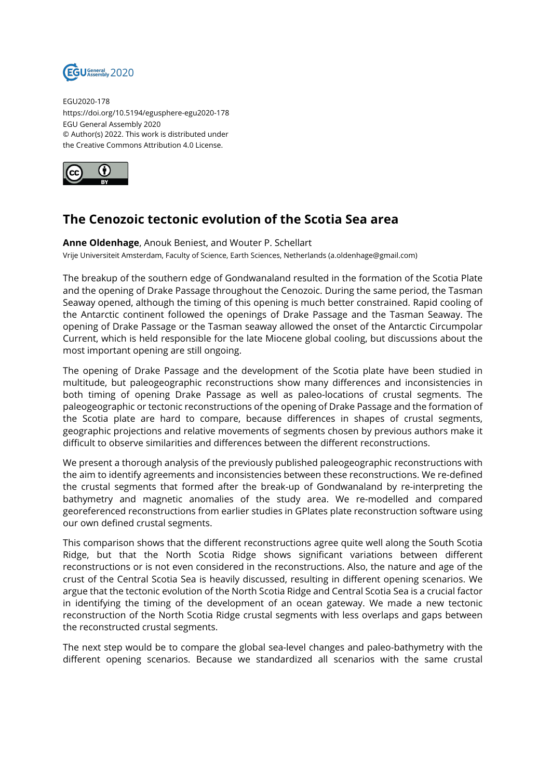

EGU2020-178 https://doi.org/10.5194/egusphere-egu2020-178 EGU General Assembly 2020 © Author(s) 2022. This work is distributed under the Creative Commons Attribution 4.0 License.



## **The Cenozoic tectonic evolution of the Scotia Sea area**

**Anne Oldenhage**, Anouk Beniest, and Wouter P. Schellart Vrije Universiteit Amsterdam, Faculty of Science, Earth Sciences, Netherlands (a.oldenhage@gmail.com)

The breakup of the southern edge of Gondwanaland resulted in the formation of the Scotia Plate and the opening of Drake Passage throughout the Cenozoic. During the same period, the Tasman Seaway opened, although the timing of this opening is much better constrained. Rapid cooling of the Antarctic continent followed the openings of Drake Passage and the Tasman Seaway. The opening of Drake Passage or the Tasman seaway allowed the onset of the Antarctic Circumpolar Current, which is held responsible for the late Miocene global cooling, but discussions about the most important opening are still ongoing.

The opening of Drake Passage and the development of the Scotia plate have been studied in multitude, but paleogeographic reconstructions show many differences and inconsistencies in both timing of opening Drake Passage as well as paleo-locations of crustal segments. The paleogeographic or tectonic reconstructions of the opening of Drake Passage and the formation of the Scotia plate are hard to compare, because differences in shapes of crustal segments, geographic projections and relative movements of segments chosen by previous authors make it difficult to observe similarities and differences between the different reconstructions.

We present a thorough analysis of the previously published paleogeographic reconstructions with the aim to identify agreements and inconsistencies between these reconstructions. We re-defined the crustal segments that formed after the break-up of Gondwanaland by re-interpreting the bathymetry and magnetic anomalies of the study area. We re-modelled and compared georeferenced reconstructions from earlier studies in GPlates plate reconstruction software using our own defined crustal segments.

This comparison shows that the different reconstructions agree quite well along the South Scotia Ridge, but that the North Scotia Ridge shows significant variations between different reconstructions or is not even considered in the reconstructions. Also, the nature and age of the crust of the Central Scotia Sea is heavily discussed, resulting in different opening scenarios. We argue that the tectonic evolution of the North Scotia Ridge and Central Scotia Sea is a crucial factor in identifying the timing of the development of an ocean gateway. We made a new tectonic reconstruction of the North Scotia Ridge crustal segments with less overlaps and gaps between the reconstructed crustal segments.

The next step would be to compare the global sea-level changes and paleo-bathymetry with the different opening scenarios. Because we standardized all scenarios with the same crustal